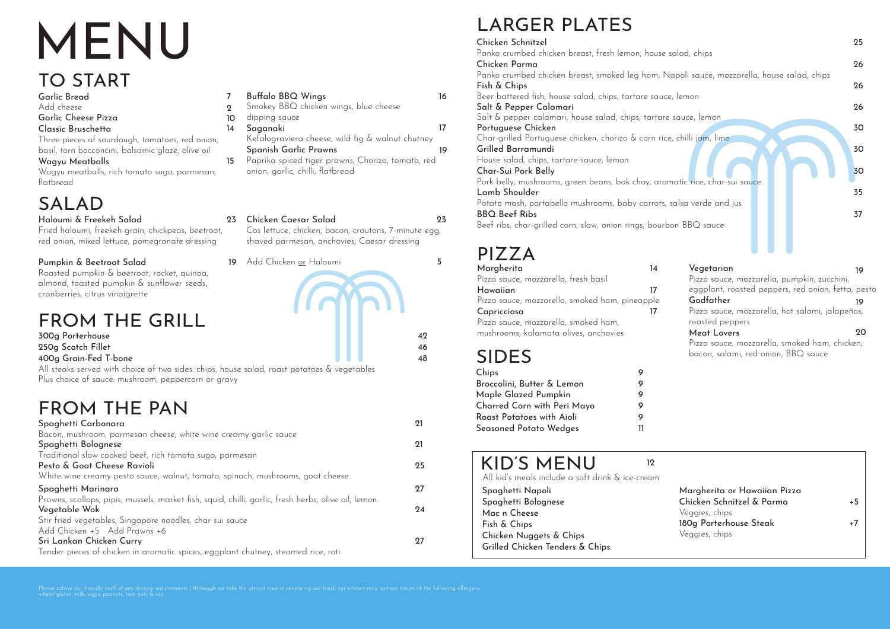# MENU TO START

## SALAD

## FROM THE GRILL

## LARGER PLATES

300g Porterhouse 42 250g Scotch Fillet 46 400g Grain-Fed T-bone 48 All steaks served with choice of two sides: chips, house salad, roast potatoes & vegetables Plus choice of sauce: mushroom, peppercorn or gravy

## FROM THE PAN

### SIDES

## PIZZA

| Chips                         | Q  |
|-------------------------------|----|
| Broccolini, Butter & Lemon    | 9  |
| Maple Glazed Pumpkin          | 9  |
| Charred Corn with Peri Mayo   | 9  |
| Roast Potatoes with Aioli     | Q  |
| <b>Seasoned Potato Wedges</b> | 11 |

Chicken Schnitzel 25 Panko crumbed chicken breast, fresh lemon, house salad, chips Chicken Parma 26 Panko crumbed chicken breast, smoked leg ham, Napoli sauce, mozzarella, house salad, chips Fish & Chips 26 Beer battered fish, house salad, chips, tartare sauce, lemon Salt & Pepper Calamari 26 Salt & pepper calamari, house salad, chips, tartare sauce, lemon Portuguese Chicken 30 Char-grilled Portuguese chicken, chorizo & corn rice, chilli jam, lime Grilled Barramundi 30 House salad, chips, tartare sauce, lemon Char-Sui Pork Belly 30 Pork belly, mushrooms, green beans, bok choy, aromatic rice, char-sui sauce Lamb Shoulder 35 Potato mash, portabello mushrooms, baby carrots, salsa verde and jus BBQ Beef Ribs 37 Beef ribs, char-grilled corn, slaw, onion rings, bourbon BBQ sauce

| 17                                             |
|------------------------------------------------|
| Pizza sauce, mozzarella, smoked ham, pineapple |
|                                                |
|                                                |
|                                                |
|                                                |

Garlic Bread Add cheese Garlic Cheese Pizza

| Spaghetti Carbonara                                                                                 | 21 |
|-----------------------------------------------------------------------------------------------------|----|
| Bacon, mushroom, parmesan cheese, white wine creamy garlic sauce                                    |    |
| Spaghetti Bolognese                                                                                 | 21 |
| Traditional slow cooked beef, rich tomato sugo, parmesan                                            |    |
| Pesto & Goat Cheese Ravioli                                                                         | 25 |
| White wine creamy pesto sauce, walnut, tomato, spinach, mushrooms, goat cheese                      |    |
| Spaghetti Marinara                                                                                  | 27 |
| Prawns, scallops, pipis, mussels, market fish, squid, chilli, garlic, fresh herbs, olive oil, lemon |    |
| Vegetable Wok                                                                                       | 24 |
| Stir fried vegetables, Singapore noodles, char sui sauce                                            |    |
| Add Chicken +5 Add Prawns +6                                                                        |    |
| Sri Lankan Chicken Curry                                                                            | 27 |
| Tender pieces of chicken in aromatic spices, eggplant chutney, steamed rice, roti                   |    |



### KID'S MENU

| Margherita or Hawaiian Pizza |      |
|------------------------------|------|
| Chicken Schnitzel & Parma    | +5   |
| Veggies, chips               |      |
| 180g Porterhouse Steak       | $+1$ |
| Veggies, chips               |      |

- Spaghetti Napoli
- Spaghetti Bolognese
- Mac n Cheese
- Fish & Chips
- Chicken Nuggets & Chips
- Grilled Chicken Tenders & Chips

All kid's meals include a soft drink & ice-cream

12

Haloumi & Freekeh Salad 23

Fried haloumi, freekeh grain, chickpeas, beetroot, red onion, mixed lettuce, pomegranate dressing

### Pumpkin & Beetroot Salad

7  $\overline{2}$ 10 14 15 17 16 19 Buffalo BBQ Wings Smokey BBQ chicken wings, blue cheese dipping sauce Saganaki Kefalograviera cheese, wild fig & walnut chutney Spanish Garlic Prawns Paprika spiced tiger prawns, Chorizo, tomato, red onion, garlic, chilli, flatbread

Roasted pumpkin & beetroot, rocket, quinoa, almond, toasted pumpkin & sunflower seeds, cranberries, citrus vinaigrette

### Classic Bruschetta

Three pieces of sourdough, tomatoes, red onion, basil, torn bocconcini, balsamic glaze, olive oil

#### Wagyu Meatballs

Wagyu meatballs, rich tomato sugo, parmesan, flatbread

### Chicken Caesar Salad 23

Cos lettuce, chicken, bacon, croutons, 7-minute egg, shaved parmesan, anchovies, Caesar dressing

19 Add Chicken or Haloumi 5